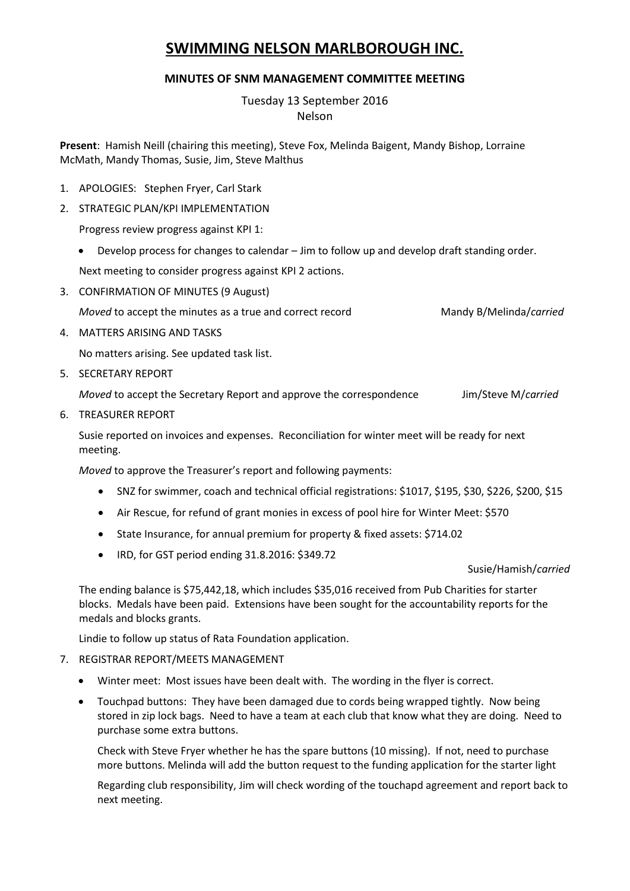# **SWIMMING NELSON MARLBOROUGH INC.**

### **MINUTES OF SNM MANAGEMENT COMMITTEE MEETING**

Tuesday 13 September 2016 Nelson

**Present**: Hamish Neill (chairing this meeting), Steve Fox, Melinda Baigent, Mandy Bishop, Lorraine McMath, Mandy Thomas, Susie, Jim, Steve Malthus

- 1. APOLOGIES: Stephen Fryer, Carl Stark
- 2. STRATEGIC PLAN/KPI IMPLEMENTATION

Progress review progress against KPI 1:

Develop process for changes to calendar – Jim to follow up and develop draft standing order.

Next meeting to consider progress against KPI 2 actions.

3. CONFIRMATION OF MINUTES (9 August)

*Moved* to accept the minutes as a true and correct record Mandy B/Melinda/*carried* 

4. MATTERS ARISING AND TASKS

No matters arising. See updated task list.

5. SECRETARY REPORT

*Moved* to accept the Secretary Report and approve the correspondence Jim/Steve M/*carried*

6. TREASURER REPORT

Susie reported on invoices and expenses. Reconciliation for winter meet will be ready for next meeting.

*Moved* to approve the Treasurer's report and following payments:

- SNZ for swimmer, coach and technical official registrations: \$1017, \$195, \$30, \$226, \$200, \$15
- Air Rescue, for refund of grant monies in excess of pool hire for Winter Meet: \$570
- State Insurance, for annual premium for property & fixed assets: \$714.02
- IRD, for GST period ending 31.8.2016: \$349.72

#### Susie/Hamish/*carried*

The ending balance is \$75,442,18, which includes \$35,016 received from Pub Charities for starter blocks. Medals have been paid. Extensions have been sought for the accountability reports for the medals and blocks grants.

Lindie to follow up status of Rata Foundation application.

- 7. REGISTRAR REPORT/MEETS MANAGEMENT
	- Winter meet: Most issues have been dealt with. The wording in the flyer is correct.
	- Touchpad buttons: They have been damaged due to cords being wrapped tightly. Now being stored in zip lock bags. Need to have a team at each club that know what they are doing. Need to purchase some extra buttons.

Check with Steve Fryer whether he has the spare buttons (10 missing). If not, need to purchase more buttons. Melinda will add the button request to the funding application for the starter light

Regarding club responsibility, Jim will check wording of the touchapd agreement and report back to next meeting.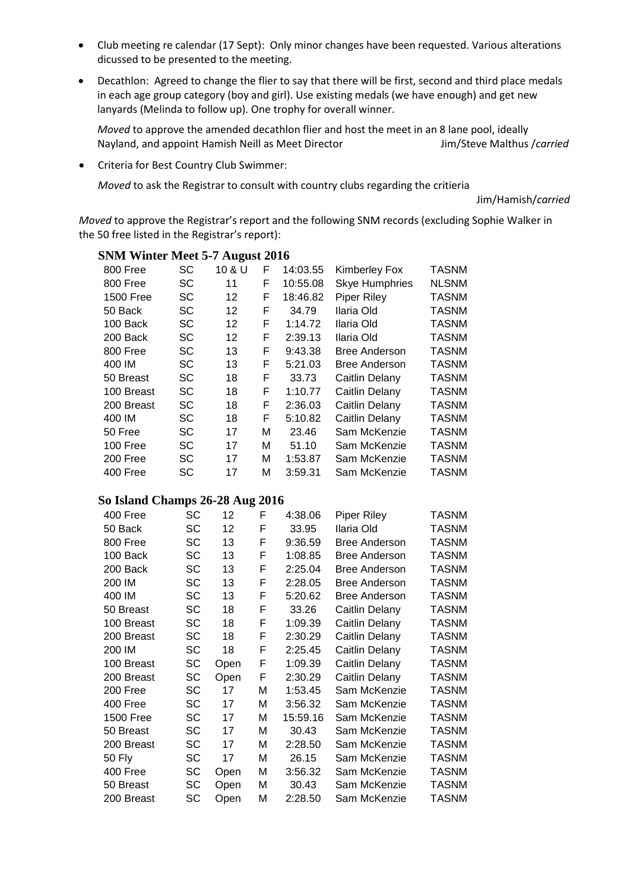- Club meeting re calendar (17 Sept): Only minor changes have been requested. Various alterations dicussed to be presented to the meeting.
- Decathlon: Agreed to change the flier to say that there will be first, second and third place medals in each age group category (boy and girl). Use existing medals (we have enough) and get new lanyards (Melinda to follow up). One trophy for overall winner.

*Moved* to approve the amended decathlon flier and host the meet in an 8 lane pool, ideally Nayland, and appoint Hamish Neill as Meet Director **Jim/Steve Malthus /***carried* 

Criteria for Best Country Club Swimmer:

*Moved* to ask the Registrar to consult with country clubs regarding the critieria

Jim/Hamish/*carried*

*Moved* to approve the Registrar's report and the following SNM records (excluding Sophie Walker in the 50 free listed in the Registrar's report):

| 800 Free         | SC        | 10 & U | F | 14:03.55 | <b>Kimberley Fox</b>  | <b>TASNM</b> |
|------------------|-----------|--------|---|----------|-----------------------|--------------|
| 800 Free         | SC        | 11     | F | 10:55.08 | <b>Skye Humphries</b> | <b>NLSNM</b> |
| <b>1500 Free</b> | SC        | 12     | F | 18:46.82 | <b>Piper Riley</b>    | <b>TASNM</b> |
| 50 Back          | SC        | 12     | F | 34.79    | Ilaria Old            | <b>TASNM</b> |
| 100 Back         | SC        | 12     | F | 1:14.72  | Ilaria Old            | <b>TASNM</b> |
| 200 Back         | <b>SC</b> | 12     | F | 2:39.13  | Ilaria Old            | <b>TASNM</b> |
| 800 Free         | SC        | 13     | F | 9:43.38  | <b>Bree Anderson</b>  | <b>TASNM</b> |
| 400 IM           | SC        | 13     | F | 5:21.03  | <b>Bree Anderson</b>  | <b>TASNM</b> |
| 50 Breast        | SC        | 18     | F | 33.73    | Caitlin Delany        | <b>TASNM</b> |
| 100 Breast       | SC        | 18     | F | 1:10.77  | Caitlin Delany        | <b>TASNM</b> |
| 200 Breast       | <b>SC</b> | 18     | F | 2:36.03  | Caitlin Delany        | <b>TASNM</b> |
| 400 IM           | SC        | 18     | F | 5:10.82  | Caitlin Delany        | <b>TASNM</b> |
| 50 Free          | SC        | 17     | М | 23.46    | Sam McKenzie          | <b>TASNM</b> |
| 100 Free         | SC        | 17     | м | 51.10    | Sam McKenzie          | <b>TASNM</b> |
| 200 Free         | <b>SC</b> | 17     | М | 1:53.87  | Sam McKenzie          | <b>TASNM</b> |
| 400 Free         | SC        | 17     | М | 3:59.31  | Sam McKenzie          | <b>TASNM</b> |
|                  |           |        |   |          |                       |              |

# **SNM Winter Meet 5-7 August 2016**

## **So Island Champs 26-28 Aug 2016**

|               | д.        |      | o |          |                      |              |
|---------------|-----------|------|---|----------|----------------------|--------------|
| 400 Free      | SC        | 12   | F | 4:38.06  | <b>Piper Riley</b>   | TASNM        |
| 50 Back       | SC        | 12   | F | 33.95    | Ilaria Old           | TASNM        |
| 800 Free      | SC        | 13   | F | 9:36.59  | <b>Bree Anderson</b> | <b>TASNM</b> |
| 100 Back      | SC        | 13   | F | 1:08.85  | <b>Bree Anderson</b> | TASNM        |
| 200 Back      | SC        | 13   | F | 2:25.04  | <b>Bree Anderson</b> | TASNM        |
| 200 IM        | SC        | 13   | F | 2:28.05  | <b>Bree Anderson</b> | <b>TASNM</b> |
| 400 IM        | SC        | 13   | F | 5:20.62  | <b>Bree Anderson</b> | <b>TASNM</b> |
| 50 Breast     | <b>SC</b> | 18   | F | 33.26    | Caitlin Delany       | <b>TASNM</b> |
| 100 Breast    | SC        | 18   | F | 1:09.39  | Caitlin Delany       | <b>TASNM</b> |
| 200 Breast    | SC        | 18   | F | 2:30.29  | Caitlin Delany       | <b>TASNM</b> |
| 200 IM        | SC        | 18   | F | 2:25.45  | Caitlin Delany       | <b>TASNM</b> |
| 100 Breast    | SC        | Open | F | 1:09.39  | Caitlin Delany       | <b>TASNM</b> |
| 200 Breast    | SC        | Open | F | 2:30.29  | Caitlin Delany       | <b>TASNM</b> |
| 200 Free      | SC        | 17   | M | 1:53.45  | Sam McKenzie         | <b>TASNM</b> |
| 400 Free      | SC        | 17   | M | 3:56.32  | Sam McKenzie         | <b>TASNM</b> |
| 1500 Free     | SC        | 17   | M | 15:59.16 | Sam McKenzie         | <b>TASNM</b> |
| 50 Breast     | SC        | 17   | M | 30.43    | Sam McKenzie         | <b>TASNM</b> |
| 200 Breast    | SC        | 17   | M | 2:28.50  | Sam McKenzie         | <b>TASNM</b> |
| <b>50 Fly</b> | SC        | 17   | M | 26.15    | Sam McKenzie         | <b>TASNM</b> |
| 400 Free      | SC        | Open | M | 3:56.32  | Sam McKenzie         | <b>TASNM</b> |
| 50 Breast     | SC        | Open | M | 30.43    | Sam McKenzie         | <b>TASNM</b> |
| 200 Breast    | SC        | Open | M | 2:28.50  | Sam McKenzie         | <b>TASNM</b> |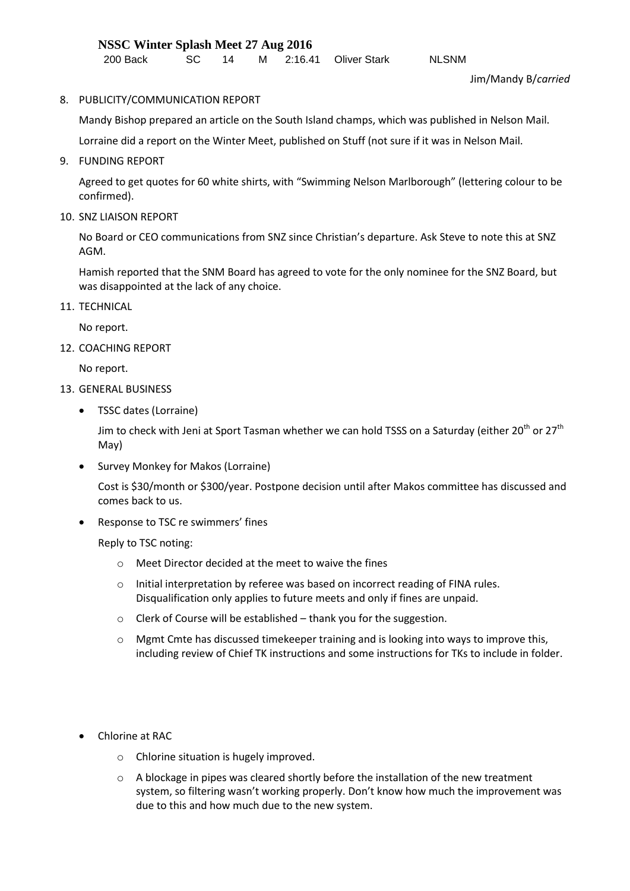8. PUBLICITY/COMMUNICATION REPORT

Mandy Bishop prepared an article on the South Island champs, which was published in Nelson Mail.

Lorraine did a report on the Winter Meet, published on Stuff (not sure if it was in Nelson Mail.

9. FUNDING REPORT

Agreed to get quotes for 60 white shirts, with "Swimming Nelson Marlborough" (lettering colour to be confirmed).

10. SNZ LIAISON REPORT

No Board or CEO communications from SNZ since Christian's departure. Ask Steve to note this at SNZ AGM.

Hamish reported that the SNM Board has agreed to vote for the only nominee for the SNZ Board, but was disappointed at the lack of any choice.

11. TECHNICAL

No report.

12. COACHING REPORT

No report.

- 13. GENERAL BUSINESS
	- TSSC dates (Lorraine)

Jim to check with Jeni at Sport Tasman whether we can hold TSSS on a Saturday (either 20<sup>th</sup> or 27<sup>th</sup> May)

• Survey Monkey for Makos (Lorraine)

Cost is \$30/month or \$300/year. Postpone decision until after Makos committee has discussed and comes back to us.

• Response to TSC re swimmers' fines

Reply to TSC noting:

- o Meet Director decided at the meet to waive the fines
- o Initial interpretation by referee was based on incorrect reading of FINA rules. Disqualification only applies to future meets and only if fines are unpaid.
- o Clerk of Course will be established thank you for the suggestion.
- $\circ$  Mgmt Cmte has discussed timekeeper training and is looking into ways to improve this, including review of Chief TK instructions and some instructions for TKs to include in folder.
- Chlorine at RAC
	- o Chlorine situation is hugely improved.
	- $\circ$  A blockage in pipes was cleared shortly before the installation of the new treatment system, so filtering wasn't working properly. Don't know how much the improvement was due to this and how much due to the new system.